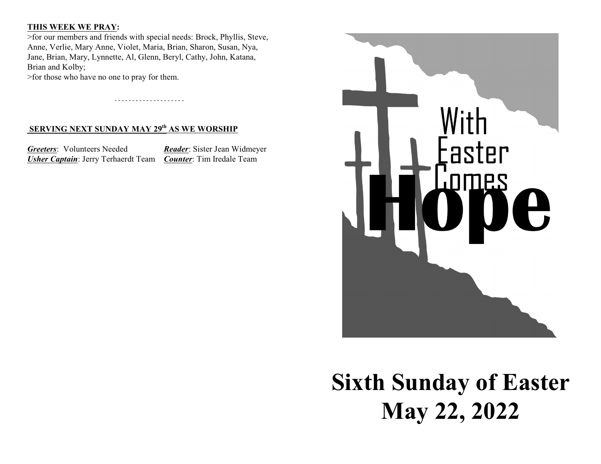### **THIS WEEK WE PRAY:**

>for our members and friends with special needs: Brock, Phyllis, Steve, Anne, Verlie, Mary Anne, Violet, Maria, Brian, Sharon, Susan, Nya, Jane, Brian, Mary, Lynnette, Al, Glenn, Beryl, Cathy, John, Katana, Brian and Kolby;

- - - - - - - - - - - - - - - - - - - -

>for those who have no one to pray for them.

## **SERVING NEXT SUNDAY MAY 29<sup>th</sup> AS WE WORSHIP**

*Greeters*: Volunteers Needed *Reader*: Sister Jean Widmeyer *Usher Captain*: Jerry Terhaerdt Team *Counter*: Tim Iredale Team



**Sixth Sunday of Easter May 22, 2022**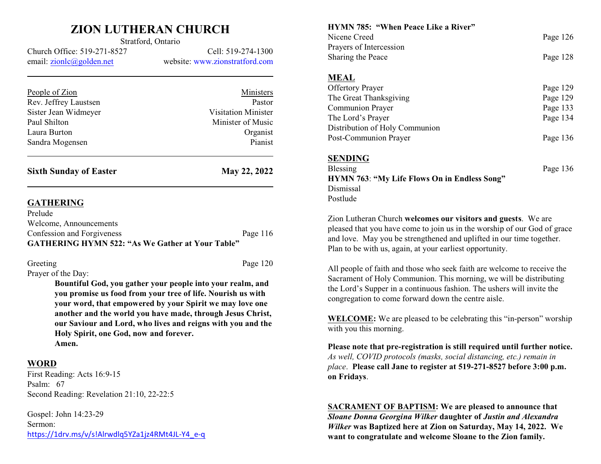# **ZION LUTHERAN CHURCH** Stratford, Ontario

Church Office: 519-271-8527 Cell: 519-274-1300 email: [zionlc@golden.net](mailto:zionlc@golden.net) website: www.zionstratford.com

| <b>Sixth Sunday of Easter</b> | May 22, 2022        |
|-------------------------------|---------------------|
| Sandra Mogensen               | Pianist             |
| Laura Burton                  | Organist            |
| Paul Shilton                  | Minister of Music   |
| Sister Jean Widmeyer          | Visitation Minister |
| Rev. Jeffrey Laustsen         | Pastor              |
| People of Zion                | Ministers           |
|                               |                     |

#### **GATHERING**

| Prelude                                                 |            |
|---------------------------------------------------------|------------|
| Welcome, Announcements                                  |            |
| Confession and Forgiveness                              | Page $116$ |
| <b>GATHERING HYMN 522: "As We Gather at Your Table"</b> |            |

Greeting Page 120 Prayer of the Day:

> **Bountiful God, you gather your people into your realm, and you promise us food from your tree of life. Nourish us with your word, that empowered by your Spirit we may love one another and the world you have made, through Jesus Christ, our Saviour and Lord, who lives and reigns with you and the Holy Spirit, one God, now and forever. Amen.**

### **WORD**

First Reading: Acts 16:9-15 Psalm: 67 Second Reading: Revelation 21:10, 22-22:5

Gospel: John 14:23-29 Sermon: [https://1drv.ms/v/s!Alrwdlq5YZa1jz4RMt4JL-Y4\\_e-q](https://1drv.ms/v/s!Alrwdlq5YZa1jz4RMt4JL-Y4_e-q)

**HYMN 785: "When Peace Like a River"** Nicene Creed Page 126 Prayers of Intercession Sharing the Peace Page 128 **MEAL** Offertory Prayer Page 129 The Great Thanksgiving Page 129 Communion Prayer Page 133 The Lord's Prayer Page 134 Distribution of Holy Communion Post-Communion Prayer Page 136 **SENDING** Blessing Page 136 **HYMN 763**: **"My Life Flows On in Endless Song"** Dismissal

Zion Lutheran Church **welcomes our visitors and guests**. We are pleased that you have come to join us in the worship of our God of grace and love. May you be strengthened and uplifted in our time together. Plan to be with us, again, at your earliest opportunity.

Postlude

All people of faith and those who seek faith are welcome to receive the Sacrament of Holy Communion. This morning, we will be distributing the Lord's Supper in a continuous fashion. The ushers will invite the congregation to come forward down the centre aisle.

**WELCOME:** We are pleased to be celebrating this "in-person" worship with you this morning.

**Please note that pre-registration is still required until further notice.** *As well, COVID protocols (masks, social distancing, etc.) remain in place*. **Please call Jane to register at 519-271-8527 before 3:00 p.m. on Fridays**.

**SACRAMENT OF BAPTISM: We are pleased to announce that** *Sloane Donna Georgina Wilker* **daughter of** *Justin and Alexandra Wilker* **was Baptized here at Zion on Saturday, May 14, 2022. We want to congratulate and welcome Sloane to the Zion family.**